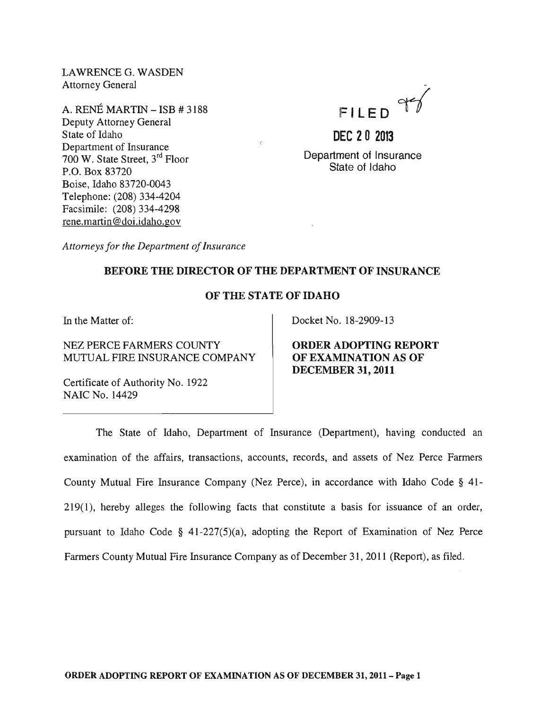LAWRENCE G. WASDEN Attorney General

A. RENE MARTIN - ISB # 3188 Deputy Attorney General State of Idaho Department of Insurance 700 W. State Street, 3rd Floor P.O. Box 83720 Boise, Idaho 83720-0043 Telephone: (208) 334-4204 Facsimile: (208) 334-4298 rene.martin@doi.idaho.gov



**DEC 20 2013**  Department of Insurance State of Idaho

*Attorneys for the Department of Insurance* 

#### BEFORE THE DIRECTOR OF THE DEPARTMENT OF INSURANCE

#### OF THE STATE OF IDAHO

In the Matter of:

NEZ PERCE FARMERS COUNTY MUTUAL FIRE INSURANCE COMPANY

Certificate of Authority No. 1922 NAIC No. 14429

Docket No. 18-2909-13

ORDER ADOPTING REPORT OF EXAMINATION AS OF DECEMBER 31, 2011

The State of Idaho, Department of Insurance (Department), having conducted an examination of the affairs, transactions, accounts, records, and assets of Nez Perce Farmers County Mutual Fire Insurance Company (Nez Perce), in accordance with Idaho Code § 41- 219(1), hereby alleges the following facts that constitute a basis for issuance of an order, pursuant to Idaho Code § 41-227(5)(a), adopting the Report of Examination of Nez Perce Farmers County Mutual Fire Insurance Company as of December 31,2011 (Report), as filed.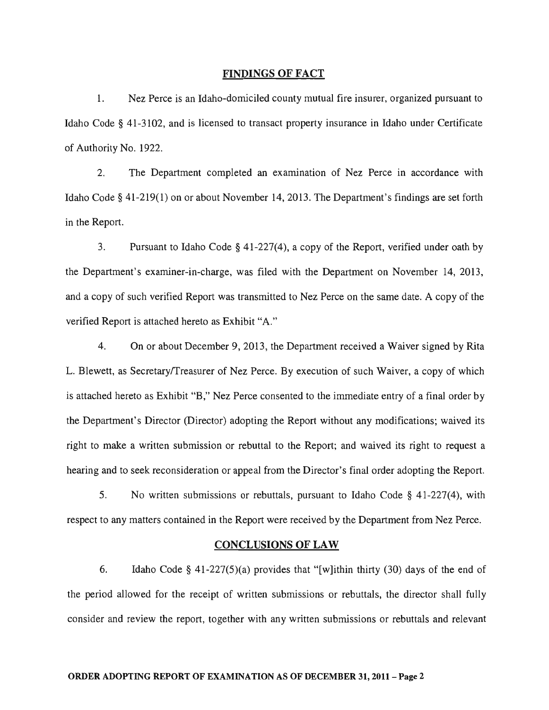#### FINDINGS OF FACT

1. Nez Perce is an Idaho-domiciled county mutual fire insurer, organized pursuant to Idaho Code § 41-3102, and is licensed to transact property insurance in Idaho under Certificate of Authority No. 1922.

2. The Department completed an examination of Nez Perce in accordance with Idaho Code § 41-219(1) on or about November 14,2013. The Department's findings are set forth in the Report.

3. Pursuant to Idaho Code § 41-227(4), a copy of the Report, verified under oath by the Department's examiner-in-charge, was filed with the Department on November 14, 2013, and a copy of such verified Report was transmitted to Nez Perce on the same date. A copy of the verified Report is attached hereto as Exhibit "A."

4. On or about December 9,2013, the Department received a Waiver signed by Rita L. Blewett, as SecretarylTreasurer of Nez Perce. By execution of such Waiver, a copy of which is attached hereto as Exhibit "B," Nez Perce consented to the immediate entry of a final order by the Department's Director (Director) adopting the Report without any modifications; waived its right to make a written submission or rebuttal to the Report; and waived its right to request a hearing and to seek reconsideration or appeal from the Director's final order adopting the Report.

5. No written submissions or rebuttals, pursuant to Idaho Code § 41-227(4), with respect to any matters contained in the Report were received by the Department from Nez Perce.

#### CONCLUSIONS OF LAW

6. Idaho Code § 41-227(5)(a) provides that "[w]ithin thirty (30) days of the end of the period allowed for the receipt of written submissions or rebuttals, the director shall fully consider and review the report, together with any written submissions or rebuttals and relevant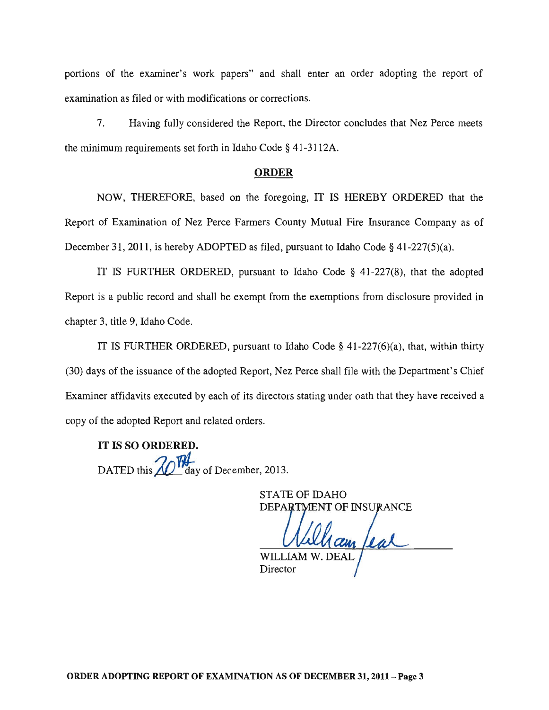portions of the examiner's work papers" and shall enter an order adopting the report of examination as filed or with modifications or corrections.

7. Having fully considered the Report, the Director concludes that Nez Perce meets the minimum requirements set forth in Idaho Code § 41-3112A.

#### ORDER

NOW, THEREFORE, based on the foregoing, IT IS HEREBY ORDERED that the Report of Examination of Nez Perce Farmers County Mutual Fire Insurance Company as of December 31, 2011, is hereby ADOPTED as filed, pursuant to Idaho Code § 41-227(5)(a).

IT IS FURTHER ORDERED, pursuant to Idaho Code § 41-227(8), that the adopted Report is a public record and shall be exempt from the exemptions from disclosure provided in chapter 3, title 9, Idaho Code.

IT IS FURTHER ORDERED, pursuant to Idaho Code § 41-227(6)(a), that, within thirty (30) days of the issuance of the adopted Report, Nez Perce shall file with the Department's Chief Examiner affidavits executed by each of its directors stating under oath that they have received a copy of the adopted Report and related orders.

IT IS SO ORDERED. DATED this  $\mathbb{Z}$  day of December, 2013.

> STATE OF IDAHO DET OF THE OF THE OF

WILLIAM W. DEAL Director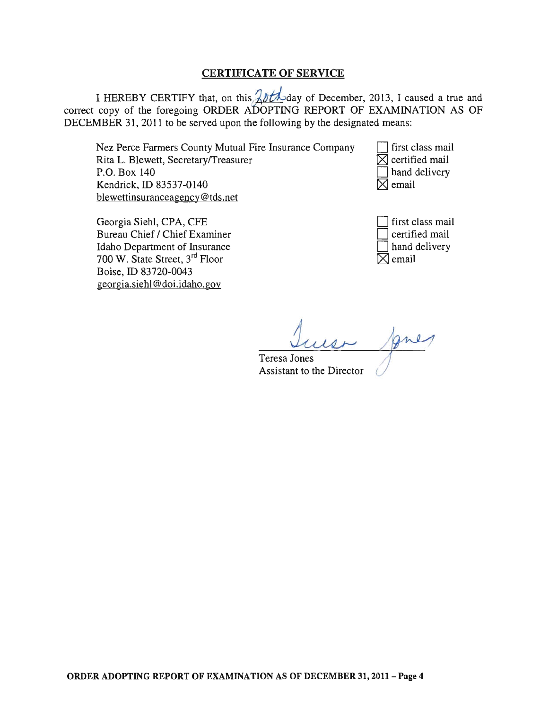### CERTIFICATE OF SERVICE

I HEREBY CERTIFY that, on this  $\frac{20+\frac{1}{2}}{20}$ day of December, 2013, I caused a true and correct copy of the foregoing ORDER AboPTING REPORT OF EXAMINATION AS OF DECEMBER 31, 2011 to be served upon the following by the designated means:

Nez Perce Farmers County Mutual Fire Insurance Company Rita L. Blewett, Secretary/Treasurer P.O. Box 140 Kendrick, ID 83537-0140 blewettinsuranceagency@tds.net

Georgia Siehl, CPA, CFE Bureau Chief / Chief Examiner Idaho Department of Insurance 700 W. State Street, 3rd Floor Boise, ID 83720-0043 georgia. siehl @doi.idaho.gov

first class mail  $\boxtimes$  certified mail hand delivery  $\boxtimes$  email

first class mail certified mail hand delivery  $\boxtimes$  email

Teresa Jones Assistant to the Director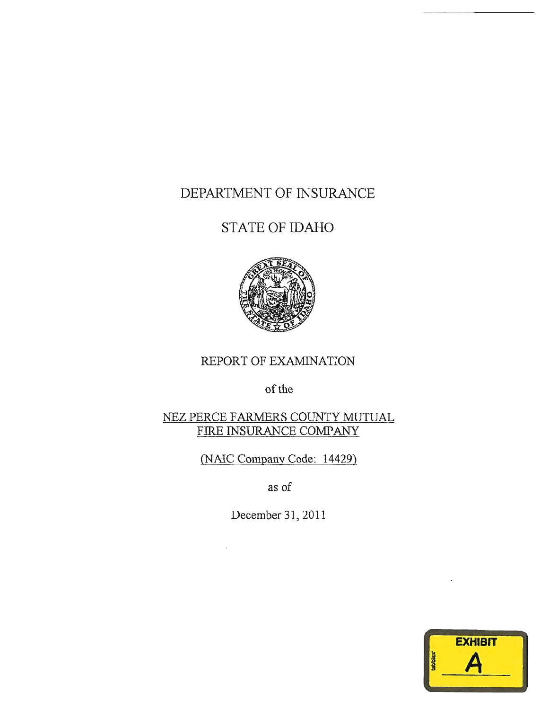# DEPARTMENT OF INSURANCE

# STATE OF IDAHO



# REPORT OF EXAMINATION

of the

# NEZ PERCE FARMERS COUNTY MUTUAL FIRE INSURANCE COMPANY

(NAlC Company Code: 14429)

as of

December 31, 2011

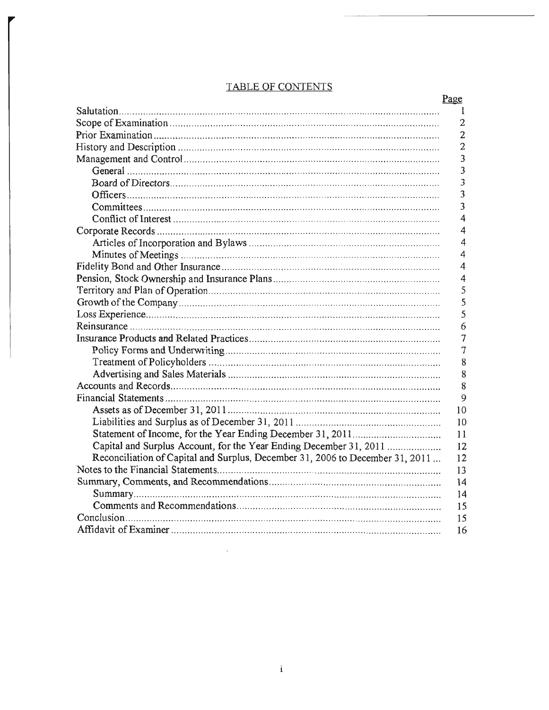# **TABLE OF CONTENTS**

|                                                                               | <u>Page</u>    |
|-------------------------------------------------------------------------------|----------------|
|                                                                               | I              |
|                                                                               | $\mathbf{2}$   |
|                                                                               | $\overline{2}$ |
|                                                                               | $\overline{2}$ |
|                                                                               | 3              |
|                                                                               | 3              |
|                                                                               | 3              |
|                                                                               | 3              |
|                                                                               | $\overline{3}$ |
|                                                                               | 4              |
|                                                                               | 4              |
|                                                                               | 4              |
|                                                                               | 4              |
|                                                                               | 4              |
|                                                                               | 4              |
|                                                                               | 5              |
|                                                                               | 5              |
|                                                                               | 5              |
|                                                                               | 6              |
|                                                                               | 7              |
|                                                                               | 7              |
|                                                                               | 8              |
|                                                                               | 8              |
|                                                                               | 8              |
|                                                                               | 9              |
|                                                                               | 10             |
|                                                                               | 10             |
|                                                                               | 11             |
| Capital and Surplus Account, for the Year Ending December 31, 2011            | 12             |
| Reconciliation of Capital and Surplus, December 31, 2006 to December 31, 2011 | 12             |
|                                                                               | 13             |
|                                                                               | 14             |
|                                                                               | 14             |
|                                                                               | 15             |
|                                                                               | 15             |
|                                                                               | 16             |
|                                                                               |                |

 $\mathcal{A}$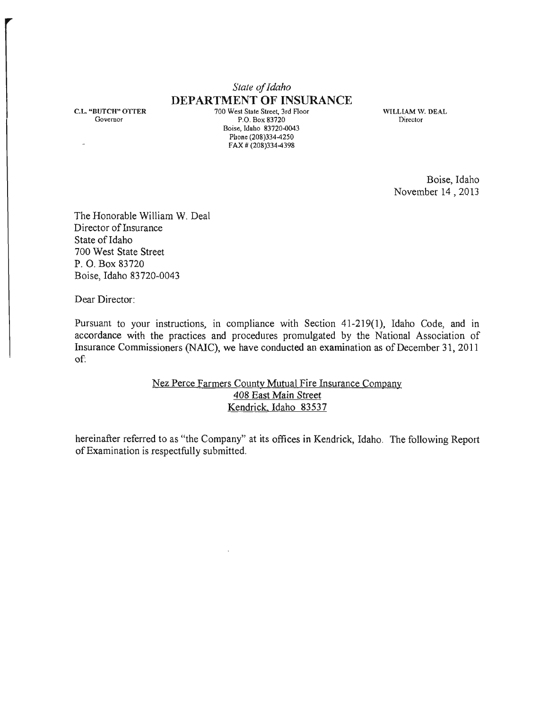# *State oj Idaho*  **DEPARTMENT OF INSURANCE**

C.L. "BUTCH" OTTER Governor

700 West State Street, 3rd Floor P.O. Box 83720 Boise, Idaho 83720-0043 Phone (208)334-4250 FAX # (208)334-4398

WILLIAM W. DEAL Director

> Boise, Idaho November 14,2013

The Honorable William W. Deal Director of Insurance State of Idaho 700 West State Street P. O. Box 83720 Boise, Idaho 83720-0043

Dear Director:

Pursuant to your instructions, in compliance with Section 41-219(1), Idaho Code, and in accordance with the practices and procedures promulgated by the National Association of Insurance Commissioners (NAIC), we have conducted an examination as of December 31,2011 of:

#### Nez Perce Farmers County Mutual Fire Insurance Company 408 East Main Street Kendrick. Idaho 83537

hereinafter referred to as "the Company" at its offices in Kendrick, Idaho. The following Report of Examination is respectfully submitted.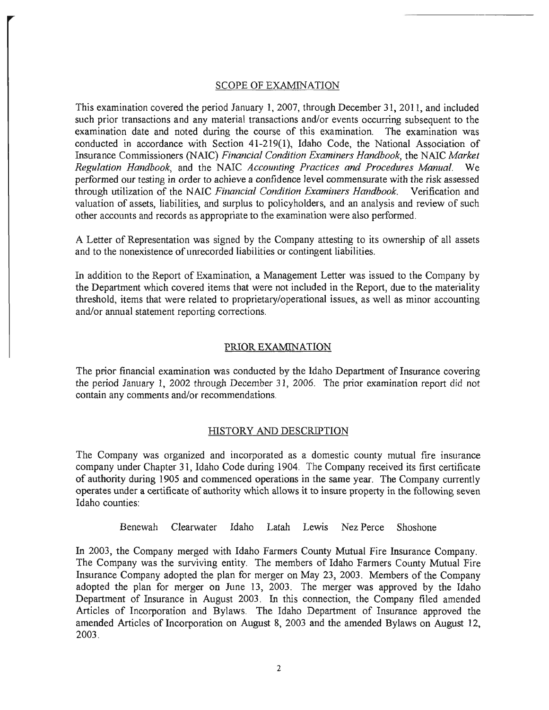#### SCOPE OF EXAMINATION

This examination covered the period January 1, 2007, through December 31,2011, and included such prior transactions and any material transactions and/or events occurring subsequent to the examination date and noted during the course of this examination. The examination was conducted in accordance with Section 41-219(1), Idaho Code, the National Association of Insurance Commissioners (NAIC) *Financial Condition Examiners Handbook,* the NAIC *Market Regulation Handbook,* and the NAIC *Accounting Practices and Procedures Manual.* We performed our testing in order to achieve a confidence level commensurate with the risk assessed through utilization of the NAIC *Financial Condition Examiners Handbook.* Verification and valuation of assets, liabilities, and surplus to policyholders, and an analysis and review of such other accounts and records as appropriate to the examination were also performed.

A Letter of Representation was signed by the Company attesting to its ownership of all assets and to the nonexistence of unrecorded liabilities or contingent liabilities.

In addition to the Report of Examination, a Management Letter was issued to the Company by the Department which covered items that were not included in the Report, due to the materiality threshold, items that were related to proprietary/operational issues, as well as minor accounting and/or annual statement reporting corrections.

#### PRIOR EXAMINATION

The prior financial examination was conducted by the Idaho Department of Insurance covering the period January 1, 2002 through December 31, 2006. The prior examination report did not contain any comments and/or recommendations.

#### HISTORY AND DESCRIPTION

The Company was organized and incorporated as a domestic county mutual fire insurance company under Chapter 31, Idaho Code during 1904. The Company received its first certificate of authority during 1905 and commenced operations in the same year. The Company currently operates under a certificate of authority which allows it to insure property in the following seven Idaho counties:

Benewah Clearwater Idaho Latah Lewis Nez Perce Shoshone

In 2003, the Company merged with Idaho Farmers County Mutual Fire Insurance Company. The Company was the surviving entity. The members of Idaho Farmers County Mutual Fire Insurance Company adopted the plan for merger on May 23, 2003. Members of the Company adopted the plan for merger on June 13, 2003. The merger was approved by the Idaho Department of Insurance in August 2003. In this connection, the Company filed amended Articles of Incorporation and Bylaws. The Idaho Department of Insurance approved the amended Articles of Incorporation on August 8, 2003 and the amended Bylaws on August 12, 2003.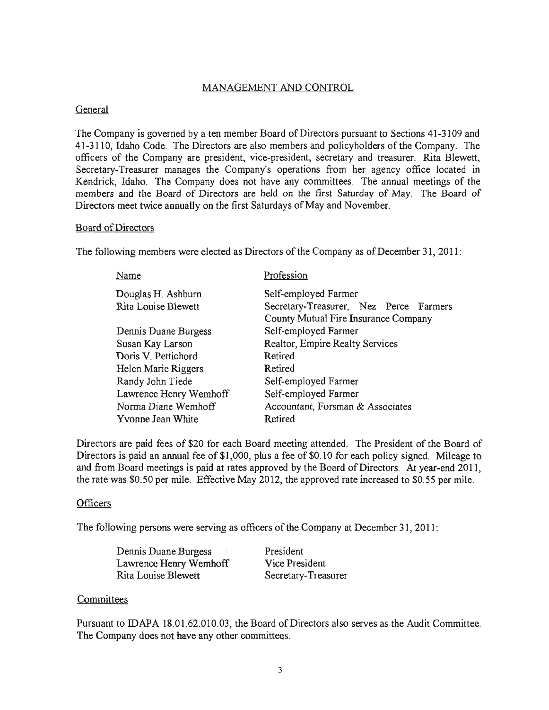### MANAGEMENT AND CONTROL

#### General

The Company is governed by a ten member Board of Directors pursuant to Sections 41-3109 and 41-3110, Idaho Code. The Directors are also members and policyholders of the Company. The officers of the Company are president, vice-president, secretary and treasurer. Rita Blewett, Secretary-Treasurer manages the Company's operations from her agency office located in Kendrick, Idaho. The Company does not have any committees. The annual meetings of the members and the Board of Directors are held on the first Saturday of May. The Board of Directors meet twice annually on the first Saturdays of May and November.

#### Board of Directors

The following members were elected as Directors of the Company as of December 31, 2011:

| Name                   | Profession                             |  |  |
|------------------------|----------------------------------------|--|--|
| Douglas H. Ashburn     | Self-employed Farmer                   |  |  |
| Rita Louise Blewett    | Secretary-Treasurer, Nez Perce Farmers |  |  |
|                        | County Mutual Fire Insurance Company   |  |  |
| Dennis Duane Burgess   | Self-employed Farmer                   |  |  |
| Susan Kay Larson       | Realtor, Empire Realty Services        |  |  |
| Doris V. Pettichord    | Retired                                |  |  |
| Helen Marie Riggers    | Retired                                |  |  |
| Randy John Tiede       | Self-employed Farmer                   |  |  |
| Lawrence Henry Wemhoff | Self-employed Farmer                   |  |  |
| Norma Diane Wemhoff    | Accountant, Forsman & Associates       |  |  |
| Yvonne Jean White      | Retired                                |  |  |

Directors are paid fees of \$20 for each Board meeting attended. The President of the Board of Directors is paid an annual fee of \$1,000, plus a fee of \$0.10 for each policy signed. Mileage to and from Board meetings is paid at rates approved by the Board of Directors. At year-end 2011, the rate was \$0.50 per mile. Effective May 2012, the approved rate increased to \$0.55 per mile.

#### **Officers**

The following persons were serving as officers of the Company at December 31, 2011:

| Dennis Duane Burgess   | President           |
|------------------------|---------------------|
| Lawrence Henry Wemhoff | Vice President      |
| Rita Louise Blewett    | Secretary-Treasurer |

#### **Committees**

Pursuant to IDAPA 18.01.62.010.03, the Board of Directors also serves as the Audit Committee. The Company does not have any other committees.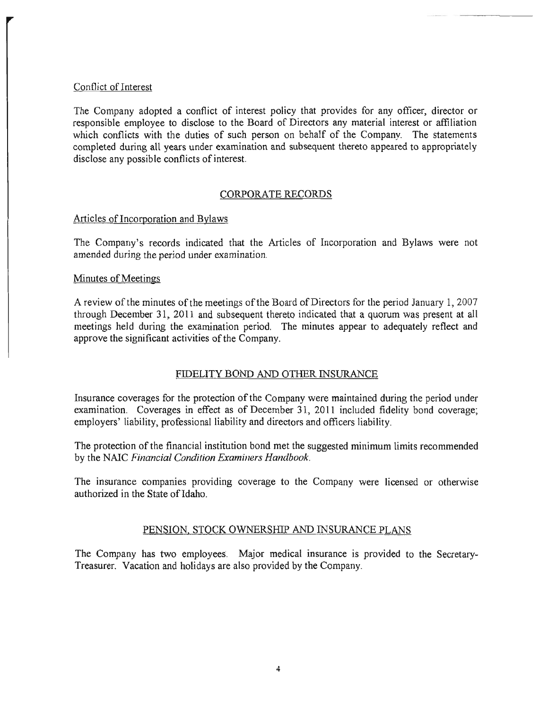#### Conflict of Interest

The Company adopted a conflict of interest policy that provides for any officer, director or responsible employee to disclose to the Board of Directors any material interest or affiliation which conflicts with the duties of such person on behalf of the Company. The statements completed during all years under examination and subsequent thereto appeared to appropriately disclose any possible conflicts of interest.

#### CORPORATE RECORDS

#### Articles of Incorporation and Bylaws

The Company's records indicated that the Articles of Incorporation and Bylaws were not amended during the period under examination.

#### Minutes of Meetings

A review of the minutes of the meetings ofthe Board of Directors for the period January 1,2007 through December 31, 2011 and subsequent thereto indicated that a quorum was present at all meetings held during the examination period. The minutes appear to adequately reflect and approve the significant activities of the Company.

### FIDELITY BOND AND OTHER INSURANCE

Insurance coverages for the protection of the Company were maintained during the period under examination. Coverages in effect as of December 31, 2011 included fidelity bond coverage; employers' liability. professional liability and directors and officers liability.

The protection of the financial institution bond met the suggested minimum limits recommended by the NAIC *Financial Condition Examiners Handbook.* 

The insurance companies providing coverage to the Company were licensed or otherwise authorized in the State of Idaho.

#### PENSION, STOCK OWNERSHIP AND INSURANCE PLANS

The Company has two employees. Major medical insurance is provided to the Secretary-Treasurer. Vacation and holidays are also provided by the Company.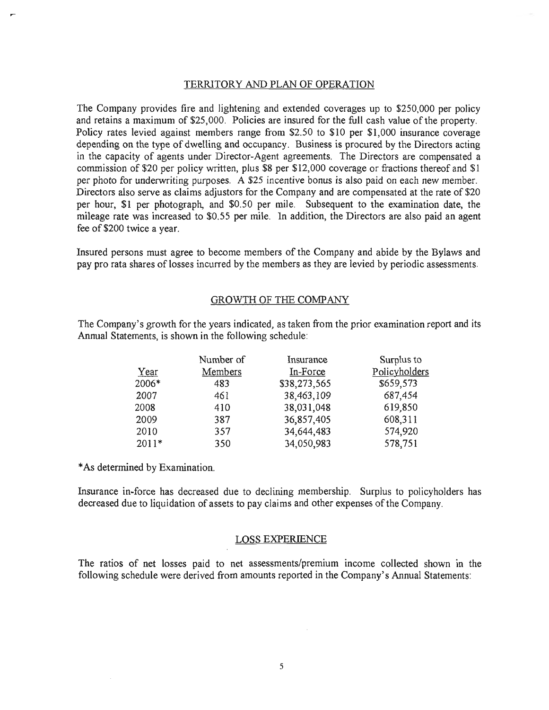#### TERRITORY AND PLAN OF OPERATION

The Company provides fire and lightening and extended coverages up to \$250,000 per policy and retains a maximum of \$25,000. Policies are insured for the full cash value of the property. Policy rates levied against members range from \$2.50 to \$10 per \$1,000 insurance coverage depending on the type of dwelling and occupancy. Business is procured by the Directors acting in the capacity of agents under Director-Agent agreements. The Directors are compensated a commission of \$20 per policy written, plus \$8 per \$12,000 coverage or fractions thereof and \$1 per photo for underwriting purposes. A \$25 incentive bonus is also paid on each new member. Directors also serve as claims adjustors for the Company and are compensated at the rate of \$20 per hour, \$1 per photograph, and \$0.50 per mile. Subsequent to the examination date, the mileage rate was increased to \$0.55 per mile. In addition, the Directors are also paid an agent fee of \$200 twice a year.

Insured persons must agree to become members of the Company and abide by the Bylaws and pay pro rata shares of losses incurred by the members as they are levied by periodic assessments.

#### GROWTH OF THE COMPANY

The Company's growth for the years indicated, as taken from the prior examination report and its Annual Statements, is shown in the following schedule:

|         | Number of | Insurance    | Surplus to    |
|---------|-----------|--------------|---------------|
| Year    | Members   | In-Force     | Policyholders |
| 2006*   | 483       | \$38,273,565 | \$659,573     |
| 2007    | 461       | 38,463,109   | 687,454       |
| 2008    | 410       | 38,031,048   | 619,850       |
| 2009    | 387       | 36,857,405   | 608,311       |
| 2010    | 357       | 34,644,483   | 574,920       |
| $2011*$ | 350       | 34,050,983   | 578,751       |

\* As determined by Examination.

Insurance in-force has decreased due to declining membership. Surplus to policyholders has decreased due to liquidation of assets to pay claims and other expenses of the Company.

#### LOSS EXPERIENCE

The ratios of net losses paid to net assessments/premium income collected shown in the following schedule were derived from amounts reported in the Company's Annual Statements: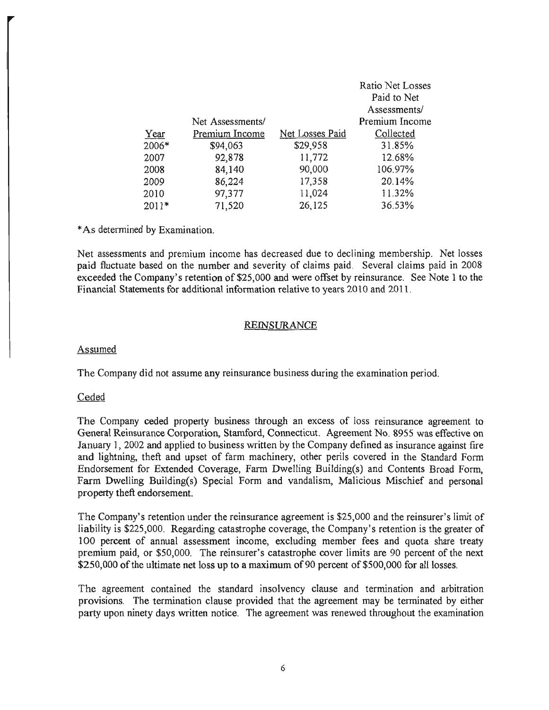|         |                  |                 | Ratio Net Losses<br>Paid to Net |
|---------|------------------|-----------------|---------------------------------|
|         |                  |                 | Assessments/                    |
|         | Net Assessments/ |                 | Premium Income                  |
| Year    | Premium Income   | Net Losses Paid | Collected                       |
| 2006*   | \$94,063         | \$29,958        | 31.85%                          |
| 2007    | 92,878           | 11,772          | 12.68%                          |
| 2008    | 84,140           | 90,000          | 106.97%                         |
| 2009    | 86,224           | 17,358          | 20.14%                          |
| 2010    | 97,377           | 11,024          | 11.32%                          |
| $2011*$ | 71,520           | 26,125          | 36.53%                          |

\* As determined by Examination.

Net assessments and premium income has decreased due to declining membership. Net losses paid fluctuate based on the number and severity of claims paid. Several claims paid in 2008 exceeded the Company's retention of \$25,000 and were offset by reinsurance. See Note 1 to the Financial Statements for additional information relative to years 2010 and 2011.

#### REINSURANCE

#### Assumed

The Company did not assume any reinsurance business during the examination period.

#### **Ceded**

The Company ceded property business through an excess of loss reinsurance agreement to General Reinsurance Corporation, Stamford, Connecticut. Agreement No. 8955 was effective on January 1, 2002 and applied to business written by the Company defined as insurance against fire and lightning, theft and upset of farm machinery, other perils covered in the Standard Form Endorsement for Extended Coverage, Farm Dwelling Building(s) and Contents Broad Form, Farm Dwelling Building(s) Special Form and vandalism, Malicious Mischief and personal property theft endorsement.

The Company's retention under the reinsurance agreement is \$25,000 and the reinsurer's limit of liability is \$225,000. Regarding catastrophe coverage, the Company's retention is the greater of 100 percent of annual assessment income, excluding member fees and quota share treaty premium paid, or \$50,000. The reinsurer's catastrophe cover limits are 90 percent of the next \$250,000 of the ultimate net loss up to a maximum of 90 percent of \$500,000 for all losses.

The agreement contained the standard insolvency clause and termination and arbitration provisions. The termination clause provided that the agreement may be terminated by either party upon ninety days written notice. The agreement was renewed throughout the examination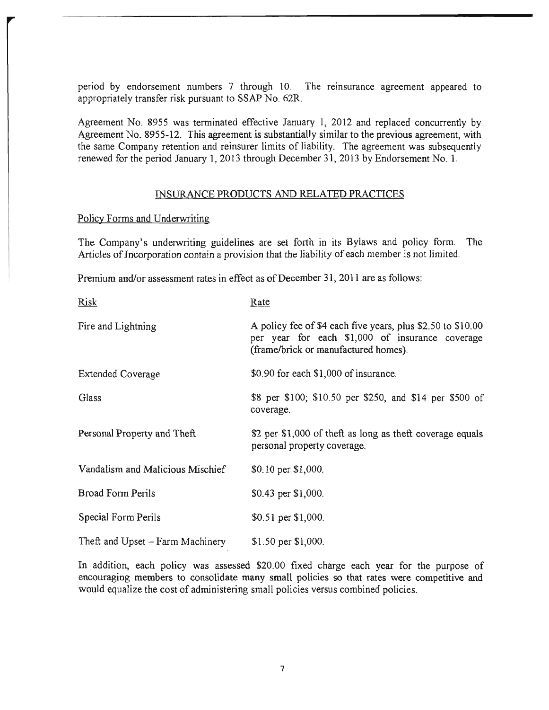period by endorsement numbers 7 through 10. The reinsurance agreement appeared to appropriately transfer risk pursuant to SSAP No. 62R.

Agreement No. 8955 was terminated effective January 1, 2012 and replaced concurrently by Agreement No. 8955-12. This agreement is substantially similar to the previous agreement, with the same Company retention and reinsurer limits of liability. The agreement was subsequently renewed for the period January 1, 2013 through December 31,2013 by Endorsement No. 1.

#### INSURANCE PRODUCTS AND RELATED PRACTICES

#### Policy Forms and Underwriting

The Company's underwriting guidelines are set forth in its Bylaws and policy form. The Articles of Incorporation contain a provision that the liability of each member is not limited.

Premium and/or assessment rates in effect as of December 31, 2011 are as follows:

| <b>Risk</b>                      | Rate                                                                                                                                                   |
|----------------------------------|--------------------------------------------------------------------------------------------------------------------------------------------------------|
| Fire and Lightning               | A policy fee of \$4 each five years, plus \$2.50 to \$10.00<br>per year for each \$1,000 of insurance coverage<br>(frame/brick or manufactured homes). |
| <b>Extended Coverage</b>         | \$0.90 for each \$1,000 of insurance.                                                                                                                  |
| Glass                            | \$8 per \$100; \$10.50 per \$250, and \$14 per \$500 of<br>coverage.                                                                                   |
| Personal Property and Theft      | \$2 per \$1,000 of theft as long as theft coverage equals<br>personal property coverage.                                                               |
| Vandalism and Malicious Mischief | \$0.10 per \$1,000.                                                                                                                                    |
| <b>Broad Form Perils</b>         | \$0.43 per \$1,000.                                                                                                                                    |
| Special Form Perils              | \$0.51 per \$1,000.                                                                                                                                    |
| Theft and Upset – Farm Machinery | $$1.50$ per $$1,000$ .                                                                                                                                 |

In addition, each policy was assessed \$20.00 fixed charge each year for the purpose of encouraging members to consolidate many small policies so that rates were competitive and would equalize the cost of administering small policies versus combined policies.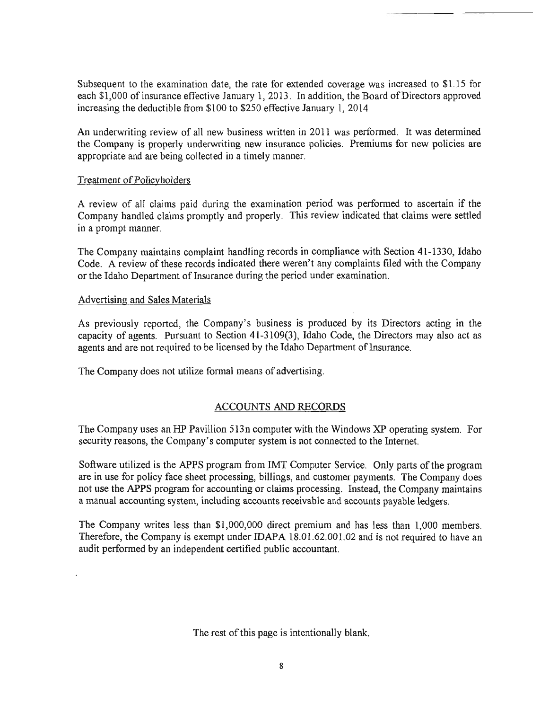Subsequent to the examination date, the rate for extended coverage was increased to \$l.15 for each \$1,000 of insurance effective January 1, 2013. In addition, the Board of Directors approved increasing the deductible from \$100 to \$250 effective January 1, 2014.

An underwriting review of all new business written in 2011 was performed. It was detennined the Company is properly underwriting new insurance policies. Premiums for new policies are appropriate and are being collected in a timely manner.

#### Treatment of Policyholders

A review of all claims paid during the examination period was perfonned to ascertain if the Company handled claims promptly and properly. This review indicated that claims were settled in a prompt manner.

The Company maintains complaint handling records in compliance with Section 41-1330, Idaho Code. A review of these records indicated there weren't any complaints filed with the Company or the Idaho Department of Insurance during the period under examination.

#### Advertising and Sales Materials

As previously reported, the Company's business is produced by its Directors acting in the capacity of agents. Pursuant to Section 41-3109(3), Idaho Code, the Directors may also act as agents and are not required to be licensed by the Idaho Department of Insurance.

The Company does not utilize fonnal means of advertising.

### ACCOUNTS AND RECORDS

The Company uses an HP Pavillion 513n computer with the Windows XP operating system. For security reasons, the Company's computer system is not connected to the Internet.

Software utilized is the APPS program from IMT Computer Service. Only parts of the program are in use for policy face sheet processing, billings, and customer payments. The Company does not use the APPS program for accounting or claims processing. Instead, the Company maintains a manual accounting system, including accounts receivable and accounts payable ledgers.

The Company writes less than \$1,000,000 direct premium and has less than 1,000 members. Therefore, the Company is exempt under IDAPA 18.01.62.001.02 and is not required to have an audit perfonned by an independent certified public accountant.

The rest of this page is intentionally blank.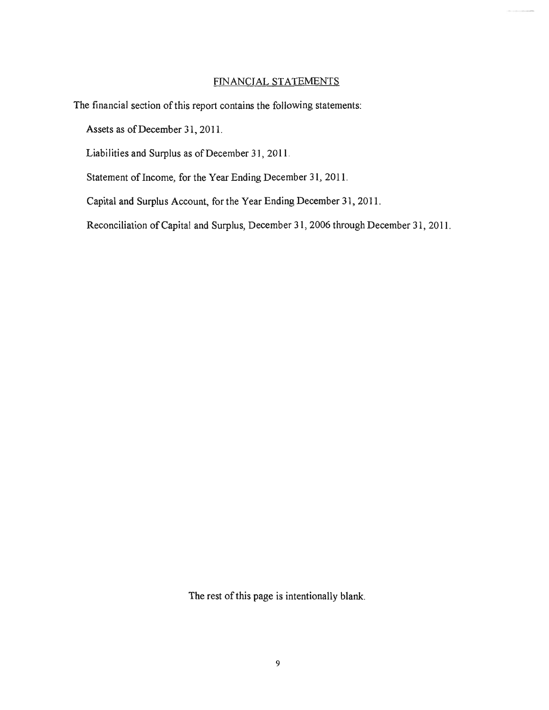### FINANCIAL STATEMENTS

The financial section of this report contains the following statements:

Assets as of December 31,2011.

Liabilities and Surplus as of December 31, 201l.

Statement of Income, for the Year Ending December 31, 2011.

Capital and Surplus Account, for the Year Ending December 31, 2011.

Reconciliation of Capital and Surplus, December 31, 2006 through December 31, 2011.

The rest of this page is intentionally blank.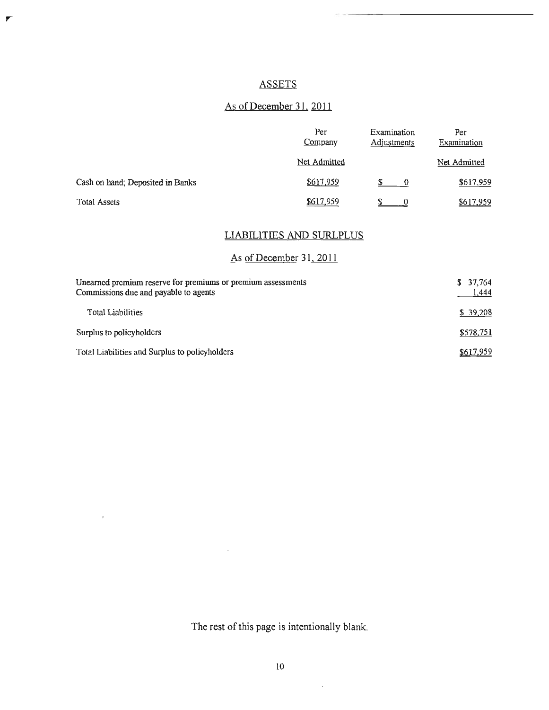# ASSETS

 $\overline{r}$ 

 $\mu$ 

# As of December 31, 2011

|                                  | Per<br>Company | Examination<br><b>Adjustments</b> | Per<br>Examination |
|----------------------------------|----------------|-----------------------------------|--------------------|
|                                  | Net Admitted   |                                   | Net Admitted       |
| Cash on hand; Deposited in Banks | \$617,959      | $\bf{0}$                          | \$617,959          |
| <b>Total Assets</b>              | \$617,959      |                                   | \$617,959          |

# LIABILITIES AND SURLPLUS

# As of December 31, 2011

| Unearned premium reserve for premiums or premium assessments<br>Commissions due and payable to agents | \$37,764<br>1,444 |
|-------------------------------------------------------------------------------------------------------|-------------------|
| <b>Total Liabilities</b>                                                                              | \$39,208          |
| Surplus to policyholders                                                                              | \$578,751         |
| Total Liabilities and Surplus to policyholders                                                        | \$617,959         |

The rest of this page is intentionally blank.

 $\overline{\phantom{a}}$ 

 $\bar{z}$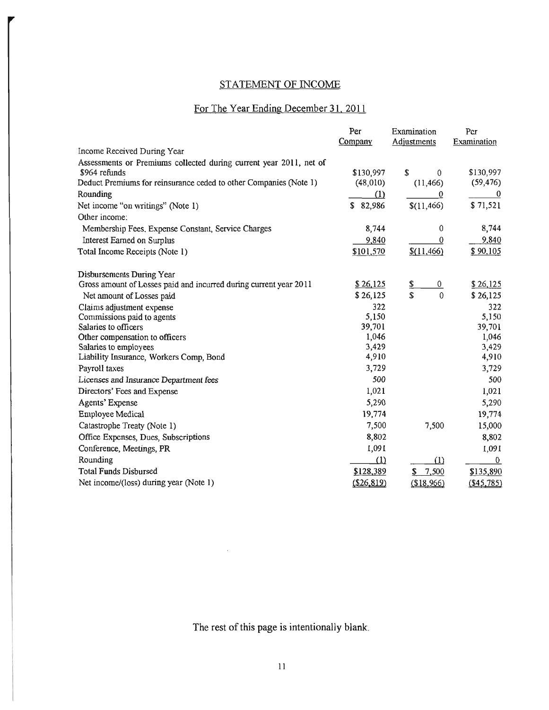# STATEMENT OF INCOME

# For The Year Ending December 31, 2011

|                                                                    | Per         | Examination          | Per              |
|--------------------------------------------------------------------|-------------|----------------------|------------------|
|                                                                    | Company     | Adjustments          | Examination      |
| Income Received During Year                                        |             |                      |                  |
| Assessments or Premiums collected during current year 2011, net of |             |                      |                  |
| \$964 refunds                                                      | \$130,997   | \$<br>0              | \$130,997        |
| Deduct Premiums for reinsurance ceded to other Companies (Note 1)  | (48,010)    | (11, 466)            | (59, 476)        |
| Rounding                                                           | (1)         | 0                    | $\boldsymbol{0}$ |
| Net income "on writings" (Note 1)                                  | \$82,986    | \$(11, 466)          | \$71,521         |
| Other income:                                                      |             |                      |                  |
| Membership Fees, Expense Constant, Service Charges                 | 8,744       | $\mathbf{0}$         | 8,744            |
| Interest Earned on Surplus                                         | 9,840       | $\bf{0}$             | 9,840            |
| Total Income Receipts (Note 1)                                     | \$101,570   | \$(11,466)           | \$90,105         |
| Disbursements During Year                                          |             |                      |                  |
| Gross amount of Losses paid and incurred during current year 2011  | \$26,125    | \$<br>$\overline{0}$ | \$26,125         |
| Net amount of Losses paid                                          | \$26,125    | \$<br>$\Omega$       | \$26,125         |
| Claims adjustment expense                                          | 322         |                      | 322              |
| Commissions paid to agents                                         | 5,150       |                      | 5,150            |
| Salaries to officers                                               | 39,701      |                      | 39,701           |
| Other compensation to officers                                     | 1,046       |                      | 1,046            |
| Salaries to employees                                              | 3,429       |                      | 3,429            |
| Liability Insurance, Workers Comp, Bond                            | 4,910       |                      | 4,910            |
| Payroll taxes                                                      | 3,729       |                      | 3,729            |
| Licenses and Insurance Department fees                             | 500         |                      | 500              |
| Directors' Fees and Expense                                        | 1,021       |                      | 1,021            |
| Agents' Expense                                                    | 5,290       |                      | 5,290            |
| <b>Employee Medical</b>                                            | 19,774      |                      | 19,774           |
| Catastrophe Treaty (Note 1)                                        | 7,500       | 7,500                | 15,000           |
| Office Expenses, Dues, Subscriptions                               | 8,802       |                      | 8,802            |
| Conference, Meetings, PR                                           | 1,091       |                      | 190,1            |
| Rounding                                                           | (1)         | (1)                  | $\bf{0}$         |
| <b>Total Funds Disbursed</b>                                       | \$128,389   | \$7,500              | \$135,890        |
| Net income/(loss) during year (Note 1)                             | (\$26, 819) | (\$18,966)           | $($ \$45,785)    |

The rest of this page is intentionally blank.

 $\bar{z}$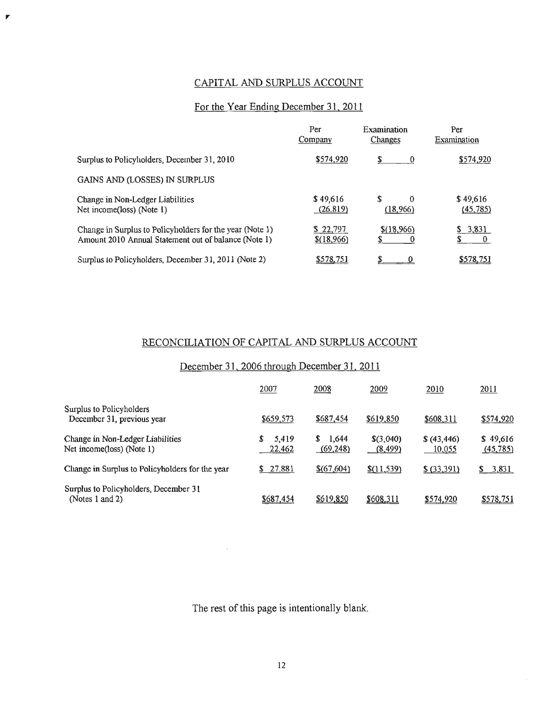# CAPITAL AND SURPLUS ACCOUNT

 $\pmb{\mathcal{F}}$ 

# For the Year Ending December 31, 2011

|                                                                                                                  | Per<br>Company         | Examination<br>Changes     | Per<br>Examination    |
|------------------------------------------------------------------------------------------------------------------|------------------------|----------------------------|-----------------------|
| Surplus to Policyholders, December 31, 2010                                                                      | \$574,920              | S<br>0                     | \$574,920             |
| GAINS AND (LOSSES) IN SURPLUS                                                                                    |                        |                            |                       |
| Change in Non-Ledger Liabilities<br>Net income(loss) (Note 1)                                                    | \$49,616<br>(26, 819)  | \$<br>$\Omega$<br>(18,966) | \$49,616<br>(45, 785) |
| Change in Surplus to Policyholders for the year (Note 1)<br>Amount 2010 Annual Statement out of balance (Note 1) | \$22,797<br>\$(18,966) | $$$ (18,966)               | \$3,831<br>$\theta$   |
| Surplus to Policyholders, December 31, 2011 (Note 2)                                                             | \$578,751              |                            | \$578,751             |

# RECONCILIATION OF CAPITAL AND SURPLUS ACCOUNT

### December 31, 2006 through December 31, 2011

|                                                               | 2007                 | 2008                     | 2009                  | <u>2010</u>            | 2011                  |
|---------------------------------------------------------------|----------------------|--------------------------|-----------------------|------------------------|-----------------------|
| Surplus to Policyholders<br>December 31, previous year        | \$659,573            | \$687,454                | \$619,850             | \$608,311              | \$574,920             |
| Change in Non-Ledger Liabilities<br>Net income(loss) (Note 1) | S<br>5,419<br>22,462 | 1,644<br>S.<br>(69, 248) | \$(3,040)<br>(8, 499) | \$ (43, 446)<br>10,055 | \$49,616<br>(45, 785) |
| Change in Surplus to Policyholders for the year               | \$27,881             | \$(67,604)               | \$(11, 539)           | \$ (33,391)            | \$3,831               |
| Surplus to Policyholders, December 31<br>(Notes $1$ and $2$ ) | \$687,454            | \$619,850                | \$608.311             | \$574,920              | \$578,751             |

The rest of this page is intentionally blank.

 $\sim$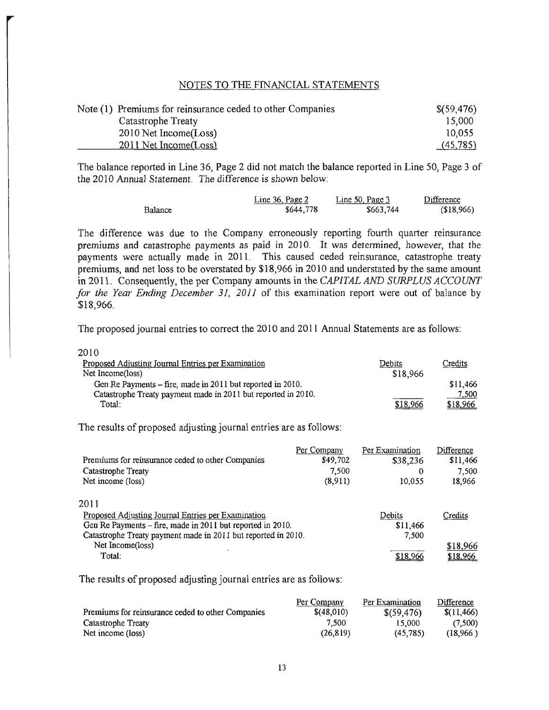#### NOTES TO THE FINANCIAL STATEMENTS

| Note (1) Premiums for reinsurance ceded to other Companies | \$(59,476) |
|------------------------------------------------------------|------------|
| Catastrophe Treaty                                         | 15,000     |
| 2010 Net Income(Loss)                                      | 10,055     |
| 2011 Net Income(Loss)                                      | (45,785)   |

The balance reported in Line 36, Page 2 did not match the balance reported in Line SO, Page 3 of the 2010 Annual Statement. The difference is shown below:

|         | Line 36, Page 2 | Line 50, Page 3 | Difference |
|---------|-----------------|-----------------|------------|
| Balance | \$644,778       | \$663,744       | (\$18,966) |

The difference was due to the Company erroneously reporting fourth quarter reinsurance premiums and catastrophe payments as paid in 2010. It was determined, however, that the payments were actually made in 2011. This caused ceded reinsurance, catastrophe treaty premiums, and net loss to be overstated by \$18,966 in 2010 and understated by the same amount in 2011. Consequently, the per Company amounts in the *CAPITAL AND SURPLUS ACCOUNT for the Year Ending December* 31, *2011* of this examination report were out of balance by \$18,966.

The proposed journal entries to correct the 2010 and 2011 Annual Statements are as follows:

| 2010                                                          |               |          |
|---------------------------------------------------------------|---------------|----------|
| Proposed Adjusting Journal Entries per Examination            | <b>Debits</b> | Credits  |
| Net Income(loss)                                              | \$18,966      |          |
| Gen Re Payments – fire, made in 2011 but reported in 2010.    |               | \$11.466 |
| Catastrophe Treaty payment made in 2011 but reported in 2010. |               | 7,500    |
| Total:                                                        | \$18,966      | \$18,966 |
|                                                               |               |          |

The results of proposed adjusting journal entries are as follows:

|                                                               | Per Company | Per Examination | Difference |
|---------------------------------------------------------------|-------------|-----------------|------------|
| Premiums for reinsurance ceded to other Companies             | \$49,702    | \$38,236        | \$11,466   |
| Catastrophe Treaty                                            | 7.500       | 0               | 7.500      |
| Net income (loss)                                             | (8,911)     | 10.055          | 18,966     |
| 2011                                                          |             |                 |            |
| Proposed Adjusting Journal Entries per Examination            |             | Debits          | Credits    |
| Gen Re Payments - fire, made in 2011 but reported in 2010.    |             | \$11,466        |            |
| Catastrophe Treaty payment made in 2011 but reported in 2010. |             | 7,500           |            |
| Net Income(loss)                                              |             |                 | \$18,966   |
| Total:                                                        |             | \$18.966        | \$18.966   |

The results of proposed adjusting journal entries are as follows:

| Premiums for reinsurance ceded to other Companies | Per Company | Per Examination | Difference  |
|---------------------------------------------------|-------------|-----------------|-------------|
|                                                   | \$(48,010)  | \$(59, 476)     | \$(11, 466) |
| Catastrophe Treaty                                | 7.500       | 15,000          | (7,500)     |
| Net income (loss)                                 | (26.819)    | (45, 785)       | (18.966)    |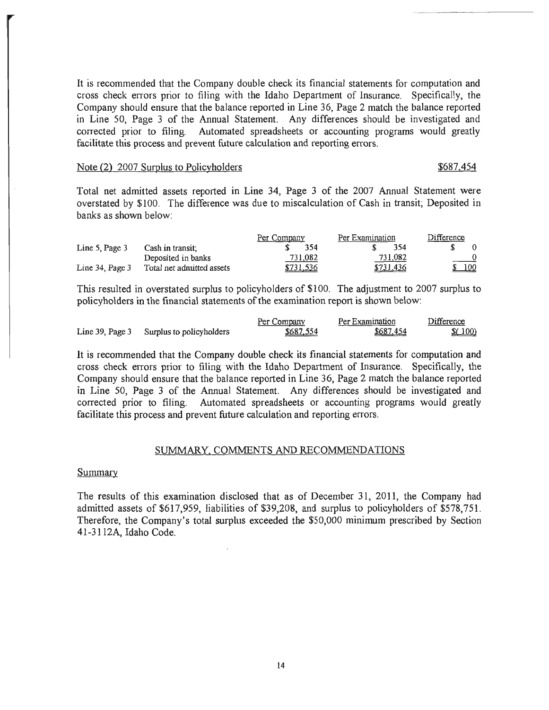It is recommended that the Company double check its financial statements for computation and cross check errors prior to filing with the Idaho Department of Insurance. Specifically, the Company should ensure that the balance reported in Line 36, Page 2 match the balance reported in Line 50, Page 3 of the Annual Statement. Any differences should be investigated and corrected prior to filing. Automated spreadsheets or accounting programs would greatly facilitate this process and prevent future calculation and reporting errors.

#### Note (2) 2007 Surplus to Policyholders  $$687,454$

Total net admitted assets reported in Line 34, Page 3 of the 2007 Annual Statement were overstated by \$100. The difference was due to miscalculation of Cash in transit; Deposited in banks as shown below:

|                      |                           | Per Company | Per Examination | Difference                       |
|----------------------|---------------------------|-------------|-----------------|----------------------------------|
| Line 5, Page 3       | Cash in transit.          | 354         | 354             |                                  |
|                      | Deposited in banks        | 731,082     | 731,082         | $\frac{0}{\sqrt{1-\frac{v}{c}}}$ |
| Line $34$ , Page $3$ | Total net admitted assets | \$731,536   | \$731.436       | \$100                            |

This resulted in overstated surplus to policyholders of \$100. The adjustment to 2007 surplus to policyholders in the financial statements of the examination report is shown below:

|                                          | Per Company | Per Examination | Difference |
|------------------------------------------|-------------|-----------------|------------|
| Line 39, Page 3 Surplus to policyholders | \$687,554   | \$687,454       | (100)      |

It is recommended that the Company double check its financial statements for computation and cross check errors prior to filing with the Idaho Department of Insurance. Specifically, the Company should ensure that the balance reported in Line 36, Page 2 match the balance reported in Line 50, Page 3 of the Annual Statement. Any differences should be investigated and corrected prior to filing. Automated spreadsheets or accounting programs would greatly facilitate this process and prevent future calculation and reporting errors.

#### SUMMARY, COMMENTS AND RECOMMENDATIONS

#### Summary

The results of this examination disclosed that as of December 31, 2011, the Company had admitted assets of \$617,959, liabilities of \$39,208, and surplus to policyholders of \$578,751. Therefore, the Company's total surplus exceeded the \$50,000 minimum prescribed by Section 41-3112A, Idaho Code.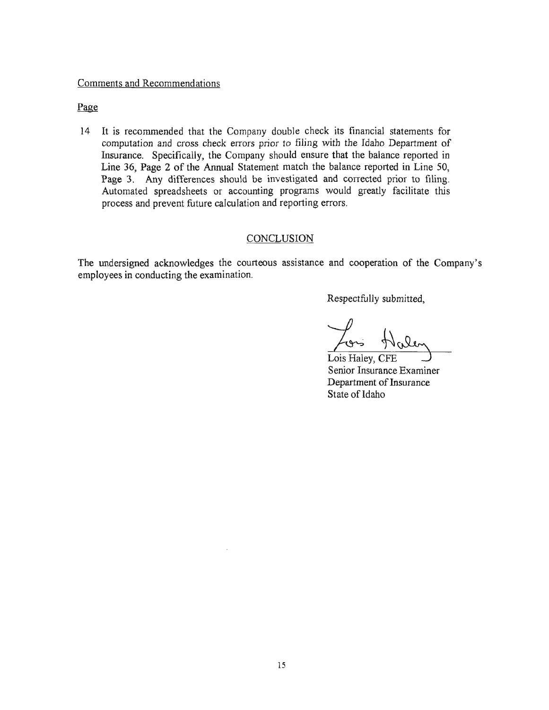#### Comments and Recommendations

#### Page

14 It is recommended that the Company double check its financial statements for computation and cross check errors prior to filing with the Idaho Department of Insurance. Specifically, the Company should ensure that the balance reported in Line 36, Page 2 of the Annual Statement match the balance reported in Line 50, Page 3. Any differences should be investigated and corrected prior to filing. Automated spreadsheets or accounting programs would greatly facilitate this process and prevent future calculation and reporting errors.

#### **CONCLUSION**

The undersigned acknowledges the courteous assistance and cooperation of the Company's employees in conducting the examination.

Respectfully submitted,

Lons Halen

Senior Insurance Examiner Department of Insurance State of Idaho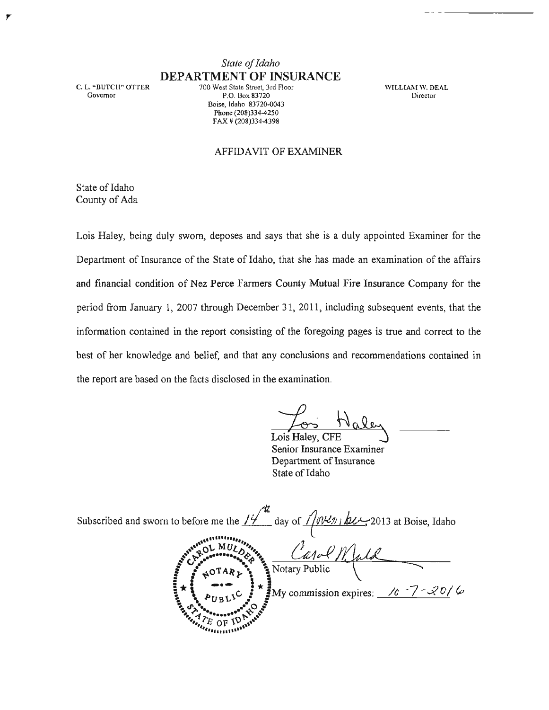C. L. "BUTCH" OTIER Govemor

7

*State of Idaho*  DEPARTMENT OF INSURANCE

700 West State Street, 3rd Floor P.O. Box 83720 Boise, Idaho 83720-0043 Phone (208)334-4250 FAX # (208)334-4398

WILLIAM W. DEAL **Director** 

#### AFFIDAVIT OF EXAMINER

State of Idaho County of Ada

Lois Haley, being duly sworn, deposes and says that she is a duly appointed Examiner for the Department of Insurance of the State of Idaho, that she has made an examination of the affairs and financial condition of Nez Perce Farmers County Mutual Fire Insurance Company for the period from January 1, 2007 through December 31, 2011, including subsequent events, that the information contained in the report consisting of the foregoing pages is true and correct to the best of her knowledge and belief, and that any conclusions and recommendations contained in the report are based on the facts disclosed in the examination.

Lois Haley, CFE

Senior Insurance Examiner Department of Insurance State of Idaho

Subscribed and sworn to before me the  $1/\sqrt{\frac{d}{d}}$  day of  $1/\sqrt{\frac{d}{d}}$  is  $\frac{d}{d}$  2013 at Boise, Idaho " •• 11 .. ."" ~, .... ~,""o" ~ **.........** MCI!, b~ I'",~ "~ ~1v-t' /1 . I}J.~ ~ til;'. -..; ~ ~ ---'==.....::..::......:...---L...!.'-'fr=...;.=-::;::"",\_-.:::::--\_\_ \_  $\sum_{i=1}^{n}$   $\sum_{i=1}^{n}$   $\frac{1}{n}$   $\frac{1}{n}$   $\frac{1}{n}$   $\frac{1}{n}$  $\int_{1}^{3} \mu O T A R \mu$ ...... ~ \ S Notary Public **Carlos**  $P_{UBL1}C = P_{WBL1}C$ <br>  $P_{UBL1}C = P_{WBL1}C$ <br>  $P_{E_0}C = P_{WBL1}C$ <br>  $P_{E_0}C = P_{WBL1}C$